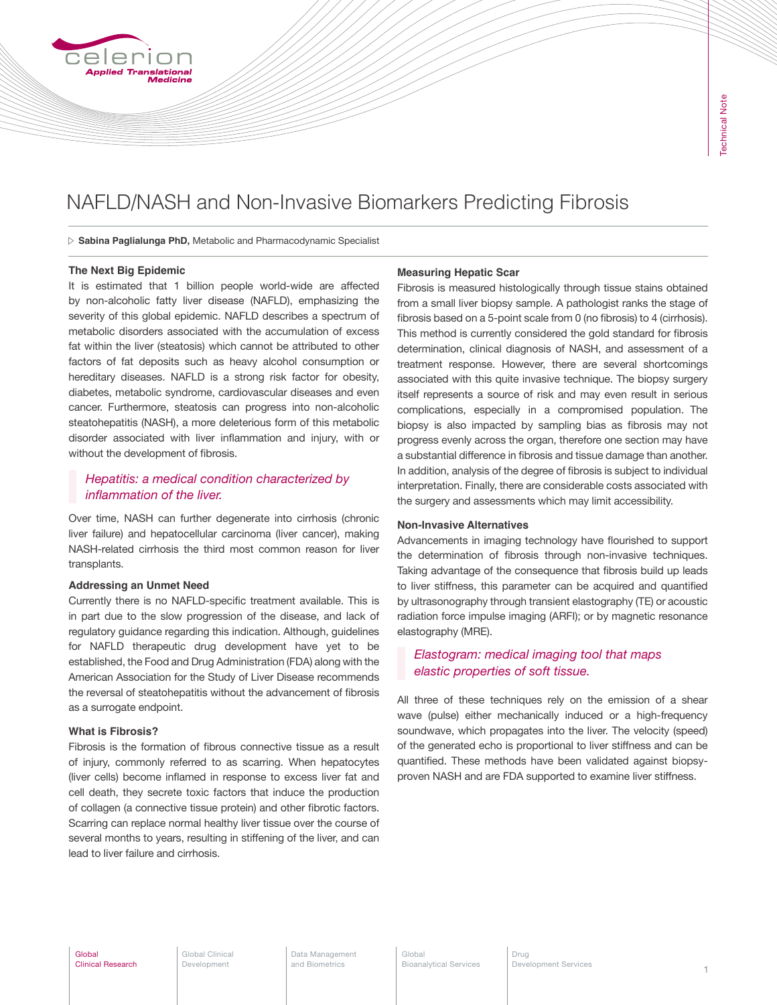# NAFLD/NASH and Non-Invasive Biomarkers Predicting Fibrosis

**Sabina Paglialunga PhD,** Metabolic and Pharmacodynamic Specialist

## **The Next Big Epidemic**

nslational

It is estimated that 1 billion people world-wide are affected by non-alcoholic fatty liver disease (NAFLD), emphasizing the severity of this global epidemic. NAFLD describes a spectrum of metabolic disorders associated with the accumulation of excess fat within the liver (steatosis) which cannot be attributed to other factors of fat deposits such as heavy alcohol consumption or hereditary diseases. NAFLD is a strong risk factor for obesity, diabetes, metabolic syndrome, cardiovascular diseases and even cancer. Furthermore, steatosis can progress into non-alcoholic steatohepatitis (NASH), a more deleterious form of this metabolic disorder associated with liver inflammation and injury, with or without the development of fibrosis.

# *Hepatitis: a medical condition characterized by inflammation of the liver.*

Over time, NASH can further degenerate into cirrhosis (chronic liver failure) and hepatocellular carcinoma (liver cancer), making NASH-related cirrhosis the third most common reason for liver transplants.

## **Addressing an Unmet Need**

Currently there is no NAFLD-specific treatment available. This is in part due to the slow progression of the disease, and lack of regulatory guidance regarding this indication. Although, guidelines for NAFLD therapeutic drug development have yet to be established, the Food and Drug Administration (FDA) along with the American Association for the Study of Liver Disease recommends the reversal of steatohepatitis without the advancement of fibrosis as a surrogate endpoint.

## **What is Fibrosis?**

Fibrosis is the formation of fibrous connective tissue as a result of injury, commonly referred to as scarring. When hepatocytes (liver cells) become inflamed in response to excess liver fat and cell death, they secrete toxic factors that induce the production of collagen (a connective tissue protein) and other fibrotic factors. Scarring can replace normal healthy liver tissue over the course of several months to years, resulting in stiffening of the liver, and can lead to liver failure and cirrhosis.

#### **Measuring Hepatic Scar**

Fibrosis is measured histologically through tissue stains obtained from a small liver biopsy sample. A pathologist ranks the stage of fibrosis based on a 5-point scale from 0 (no fibrosis) to 4 (cirrhosis). This method is currently considered the gold standard for fibrosis determination, clinical diagnosis of NASH, and assessment of a treatment response. However, there are several shortcomings associated with this quite invasive technique. The biopsy surgery itself represents a source of risk and may even result in serious complications, especially in a compromised population. The biopsy is also impacted by sampling bias as fibrosis may not progress evenly across the organ, therefore one section may have a substantial difference in fibrosis and tissue damage than another. In addition, analysis of the degree of fibrosis is subject to individual interpretation. Finally, there are considerable costs associated with the surgery and assessments which may limit accessibility.

#### **Non-Invasive Alternatives**

Advancements in imaging technology have flourished to support the determination of fibrosis through non-invasive techniques. Taking advantage of the consequence that fibrosis build up leads to liver stiffness, this parameter can be acquired and quantified by ultrasonography through transient elastography (TE) or acoustic radiation force impulse imaging (ARFI); or by magnetic resonance elastography (MRE).

# *Elastogram: medical imaging tool that maps elastic properties of soft tissue.*

All three of these techniques rely on the emission of a shear wave (pulse) either mechanically induced or a high-frequency soundwave, which propagates into the liver. The velocity (speed) of the generated echo is proportional to liver stiffness and can be quantified. These methods have been validated against biopsyproven NASH and are FDA supported to examine liver stiffness.

Data Management and Biometrics

Global<br>Bioanalytical Services